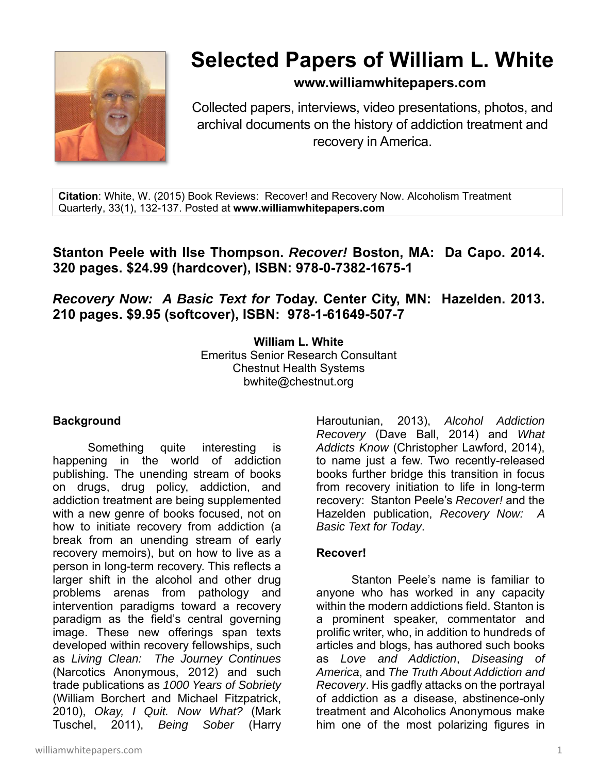

# **Selected Papers of William L. White**

# **www.williamwhitepapers.com**

Collected papers, interviews, video presentations, photos, and archival documents on the history of addiction treatment and recovery in America.

**Citation**: White, W. (2015) Book Reviews: Recover! and Recovery Now. Alcoholism Treatment Quarterly, 33(1), 132-137. Posted at **www.williamwhitepapers.com**

# **Stanton Peele with Ilse Thompson.** *Recover!* **Boston, MA: Da Capo. 2014. 320 pages. \$24.99 (hardcover), ISBN: 978-0-7382-1675-1**

# *Recovery Now: A Basic Text for T***oday. Center City, MN: Hazelden. 2013. 210 pages. \$9.95 (softcover), ISBN: 978-1-61649-507-7**

**William L. White**  Emeritus Senior Research Consultant Chestnut Health Systems bwhite@chestnut.org

## **Background**

Something quite interesting is happening in the world of addiction publishing. The unending stream of books on drugs, drug policy, addiction, and addiction treatment are being supplemented with a new genre of books focused, not on how to initiate recovery from addiction (a break from an unending stream of early recovery memoirs), but on how to live as a person in long-term recovery. This reflects a larger shift in the alcohol and other drug problems arenas from pathology and intervention paradigms toward a recovery paradigm as the field's central governing image. These new offerings span texts developed within recovery fellowships, such as *Living Clean: The Journey Continues* (Narcotics Anonymous, 2012) and such trade publications as *1000 Years of Sobriety* (William Borchert and Michael Fitzpatrick, 2010), *Okay, I Quit. Now What?* (Mark Tuschel, 2011), *Being Sober* (Harry

Haroutunian, 2013), *Alcohol Addiction Recovery* (Dave Ball, 2014) and *What Addicts Know* (Christopher Lawford, 2014), to name just a few. Two recently-released books further bridge this transition in focus from recovery initiation to life in long-term recovery: Stanton Peele's *Recover!* and the Hazelden publication, *Recovery Now: A Basic Text for Today*.

## **Recover!**

 Stanton Peele's name is familiar to anyone who has worked in any capacity within the modern addictions field. Stanton is a prominent speaker, commentator and prolific writer, who, in addition to hundreds of articles and blogs, has authored such books as *Love and Addiction*, *Diseasing of America*, and *The Truth About Addiction and Recovery*. His gadfly attacks on the portrayal of addiction as a disease, abstinence-only treatment and Alcoholics Anonymous make him one of the most polarizing figures in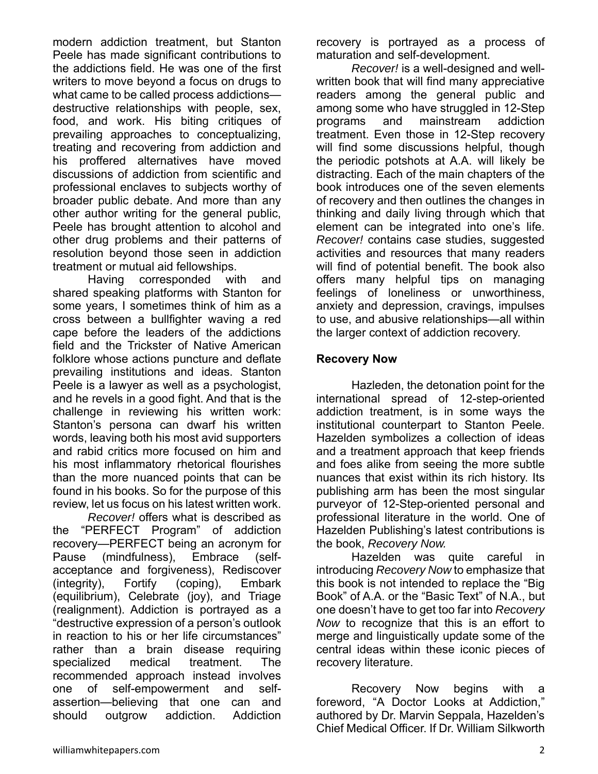modern addiction treatment, but Stanton Peele has made significant contributions to the addictions field. He was one of the first writers to move beyond a focus on drugs to what came to be called process addictions destructive relationships with people, sex, food, and work. His biting critiques of prevailing approaches to conceptualizing, treating and recovering from addiction and his proffered alternatives have moved discussions of addiction from scientific and professional enclaves to subjects worthy of broader public debate. And more than any other author writing for the general public, Peele has brought attention to alcohol and other drug problems and their patterns of resolution beyond those seen in addiction treatment or mutual aid fellowships.

 Having corresponded with and shared speaking platforms with Stanton for some years, I sometimes think of him as a cross between a bullfighter waving a red cape before the leaders of the addictions field and the Trickster of Native American folklore whose actions puncture and deflate prevailing institutions and ideas. Stanton Peele is a lawyer as well as a psychologist, and he revels in a good fight. And that is the challenge in reviewing his written work: Stanton's persona can dwarf his written words, leaving both his most avid supporters and rabid critics more focused on him and his most inflammatory rhetorical flourishes than the more nuanced points that can be found in his books. So for the purpose of this review, let us focus on his latest written work.

*Recover!* offers what is described as the "PERFECT Program" of addiction recovery—PERFECT being an acronym for Pause (mindfulness), Embrace (selfacceptance and forgiveness), Rediscover (integrity), Fortify (coping), Embark (equilibrium), Celebrate (joy), and Triage (realignment). Addiction is portrayed as a "destructive expression of a person's outlook in reaction to his or her life circumstances" rather than a brain disease requiring specialized medical treatment. The recommended approach instead involves one of self-empowerment and selfassertion—believing that one can and should outgrow addiction. Addiction

recovery is portrayed as a process of maturation and self-development.

*Recover!* is a well-designed and wellwritten book that will find many appreciative readers among the general public and among some who have struggled in 12-Step programs and mainstream addiction treatment. Even those in 12-Step recovery will find some discussions helpful, though the periodic potshots at A.A. will likely be distracting. Each of the main chapters of the book introduces one of the seven elements of recovery and then outlines the changes in thinking and daily living through which that element can be integrated into one's life. *Recover!* contains case studies, suggested activities and resources that many readers will find of potential benefit. The book also offers many helpful tips on managing feelings of loneliness or unworthiness, anxiety and depression, cravings, impulses to use, and abusive relationships—all within the larger context of addiction recovery.

### **Recovery Now**

 Hazleden, the detonation point for the international spread of 12-step-oriented addiction treatment, is in some ways the institutional counterpart to Stanton Peele. Hazelden symbolizes a collection of ideas and a treatment approach that keep friends and foes alike from seeing the more subtle nuances that exist within its rich history. Its publishing arm has been the most singular purveyor of 12-Step-oriented personal and professional literature in the world. One of Hazelden Publishing's latest contributions is the book, *Recovery Now.*

 Hazelden was quite careful in introducing *Recovery Now* to emphasize that this book is not intended to replace the "Big Book" of A.A. or the "Basic Text" of N.A., but one doesn't have to get too far into *Recovery Now* to recognize that this is an effort to merge and linguistically update some of the central ideas within these iconic pieces of recovery literature.

 Recovery Now begins with a foreword, "A Doctor Looks at Addiction," authored by Dr. Marvin Seppala, Hazelden's Chief Medical Officer. If Dr. William Silkworth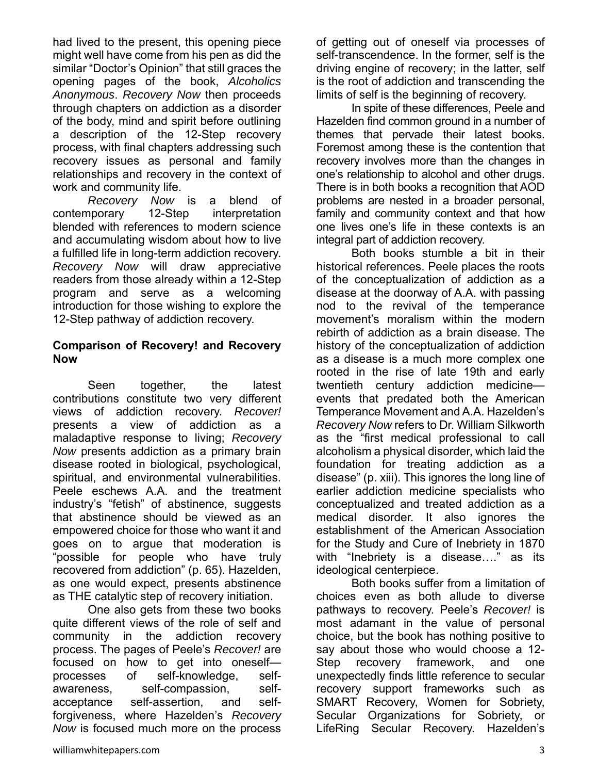had lived to the present, this opening piece might well have come from his pen as did the similar "Doctor's Opinion" that still graces the opening pages of the book, *Alcoholics Anonymous*. *Recovery Now* then proceeds through chapters on addiction as a disorder of the body, mind and spirit before outlining a description of the 12-Step recovery process, with final chapters addressing such recovery issues as personal and family relationships and recovery in the context of work and community life.

*Recovery Now* is a blend of contemporary 12-Step interpretation blended with references to modern science and accumulating wisdom about how to live a fulfilled life in long-term addiction recovery. *Recovery Now* will draw appreciative readers from those already within a 12-Step program and serve as a welcoming introduction for those wishing to explore the 12-Step pathway of addiction recovery.

#### **Comparison of Recovery! and Recovery Now**

 Seen together, the latest contributions constitute two very different views of addiction recovery. *Recover!* presents a view of addiction as a maladaptive response to living; *Recovery Now* presents addiction as a primary brain disease rooted in biological, psychological, spiritual, and environmental vulnerabilities. Peele eschews A.A. and the treatment industry's "fetish" of abstinence, suggests that abstinence should be viewed as an empowered choice for those who want it and goes on to argue that moderation is "possible for people who have truly recovered from addiction" (p. 65). Hazelden, as one would expect, presents abstinence as THE catalytic step of recovery initiation.

 One also gets from these two books quite different views of the role of self and community in the addiction recovery process. The pages of Peele's *Recover!* are focused on how to get into oneself processes of self-knowledge, selfawareness, self-compassion, selfacceptance self-assertion, and selfforgiveness, where Hazelden's *Recovery Now* is focused much more on the process

of getting out of oneself via processes of self-transcendence. In the former, self is the driving engine of recovery; in the latter, self is the root of addiction and transcending the limits of self is the beginning of recovery.

 In spite of these differences, Peele and Hazelden find common ground in a number of themes that pervade their latest books. Foremost among these is the contention that recovery involves more than the changes in one's relationship to alcohol and other drugs. There is in both books a recognition that AOD problems are nested in a broader personal, family and community context and that how one lives one's life in these contexts is an integral part of addiction recovery.

 Both books stumble a bit in their historical references. Peele places the roots of the conceptualization of addiction as a disease at the doorway of A.A. with passing nod to the revival of the temperance movement's moralism within the modern rebirth of addiction as a brain disease. The history of the conceptualization of addiction as a disease is a much more complex one rooted in the rise of late 19th and early twentieth century addiction medicine events that predated both the American Temperance Movement and A.A. Hazelden's *Recovery Now* refers to Dr. William Silkworth as the "first medical professional to call alcoholism a physical disorder, which laid the foundation for treating addiction as a disease" (p. xiii). This ignores the long line of earlier addiction medicine specialists who conceptualized and treated addiction as a medical disorder. It also ignores the establishment of the American Association for the Study and Cure of Inebriety in 1870 with "Inebriety is a disease...." as its ideological centerpiece.

 Both books suffer from a limitation of choices even as both allude to diverse pathways to recovery. Peele's *Recover!* is most adamant in the value of personal choice, but the book has nothing positive to say about those who would choose a 12- Step recovery framework, and one unexpectedly finds little reference to secular recovery support frameworks such as SMART Recovery, Women for Sobriety, Secular Organizations for Sobriety, or LifeRing Secular Recovery. Hazelden's